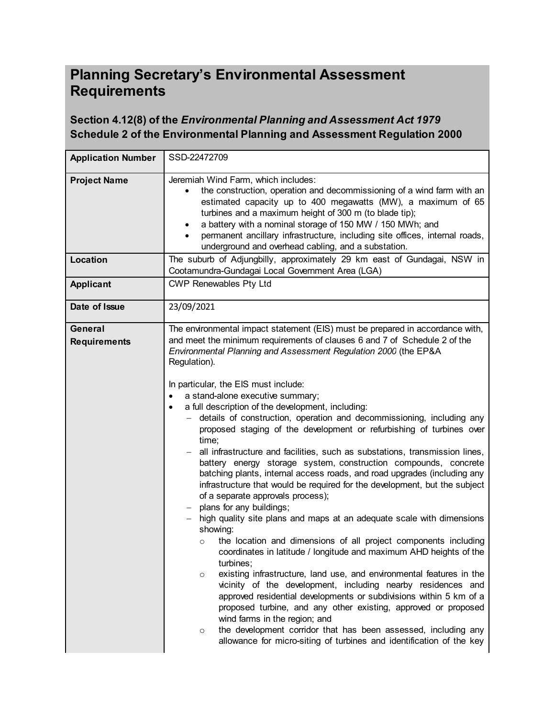# **Planning Secretary's Environmental Assessment Requirements**

## **Section 4.12(8) of the** *Environmental Planning and Assessment Act 1979* **Schedule 2 of the Environmental Planning and Assessment Regulation 2000**

| <b>Application Number</b>      | SSD-22472709                                                                                                                                                                                                                                                                                                                                                                                                                                                                                                                                                                                                                                                                                                                                                                                                                                                                                                                                                                                                                                                                                                                                                                                                                                                                                                                                                                                                                                                                                                                                                                                                                                                                                                        |
|--------------------------------|---------------------------------------------------------------------------------------------------------------------------------------------------------------------------------------------------------------------------------------------------------------------------------------------------------------------------------------------------------------------------------------------------------------------------------------------------------------------------------------------------------------------------------------------------------------------------------------------------------------------------------------------------------------------------------------------------------------------------------------------------------------------------------------------------------------------------------------------------------------------------------------------------------------------------------------------------------------------------------------------------------------------------------------------------------------------------------------------------------------------------------------------------------------------------------------------------------------------------------------------------------------------------------------------------------------------------------------------------------------------------------------------------------------------------------------------------------------------------------------------------------------------------------------------------------------------------------------------------------------------------------------------------------------------------------------------------------------------|
| <b>Project Name</b>            | Jeremiah Wind Farm, which includes:<br>the construction, operation and decommissioning of a wind farm with an<br>estimated capacity up to 400 megawatts (MW), a maximum of 65<br>turbines and a maximum height of 300 m (to blade tip);<br>a battery with a nominal storage of 150 MW / 150 MWh; and<br>$\bullet$<br>permanent ancillary infrastructure, including site offices, internal roads,<br>underground and overhead cabling, and a substation.                                                                                                                                                                                                                                                                                                                                                                                                                                                                                                                                                                                                                                                                                                                                                                                                                                                                                                                                                                                                                                                                                                                                                                                                                                                             |
| Location                       | The suburb of Adjungbilly, approximately 29 km east of Gundagai, NSW in<br>Cootamundra-Gundagai Local Government Area (LGA)                                                                                                                                                                                                                                                                                                                                                                                                                                                                                                                                                                                                                                                                                                                                                                                                                                                                                                                                                                                                                                                                                                                                                                                                                                                                                                                                                                                                                                                                                                                                                                                         |
| <b>Applicant</b>               | <b>CWP Renewables Pty Ltd</b>                                                                                                                                                                                                                                                                                                                                                                                                                                                                                                                                                                                                                                                                                                                                                                                                                                                                                                                                                                                                                                                                                                                                                                                                                                                                                                                                                                                                                                                                                                                                                                                                                                                                                       |
| Date of Issue                  | 23/09/2021                                                                                                                                                                                                                                                                                                                                                                                                                                                                                                                                                                                                                                                                                                                                                                                                                                                                                                                                                                                                                                                                                                                                                                                                                                                                                                                                                                                                                                                                                                                                                                                                                                                                                                          |
| General<br><b>Requirements</b> | The environmental impact statement (EIS) must be prepared in accordance with,<br>and meet the minimum requirements of clauses 6 and 7 of Schedule 2 of the<br>Environmental Planning and Assessment Regulation 2000 (the EP&A<br>Regulation).<br>In particular, the EIS must include:<br>a stand-alone executive summary;<br>a full description of the development, including:<br>$\bullet$<br>details of construction, operation and decommissioning, including any<br>$-$<br>proposed staging of the development or refurbishing of turbines over<br>time;<br>all infrastructure and facilities, such as substations, transmission lines,<br>battery energy storage system, construction compounds, concrete<br>batching plants, internal access roads, and road upgrades (including any<br>infrastructure that would be required for the development, but the subject<br>of a separate approvals process);<br>plans for any buildings;<br>$\overline{\phantom{m}}$<br>high quality site plans and maps at an adequate scale with dimensions<br>$-$<br>showing:<br>the location and dimensions of all project components including<br>$\circ$<br>coordinates in latitude / longitude and maximum AHD heights of the<br>turbines;<br>existing infrastructure, land use, and environmental features in the<br>$\circ$<br>vicinity of the development, including nearby residences and<br>approved residential developments or subdivisions within 5 km of a<br>proposed turbine, and any other existing, approved or proposed<br>wind farms in the region; and<br>the development corridor that has been assessed, including any<br>$\circ$<br>allowance for micro-siting of turbines and identification of the key |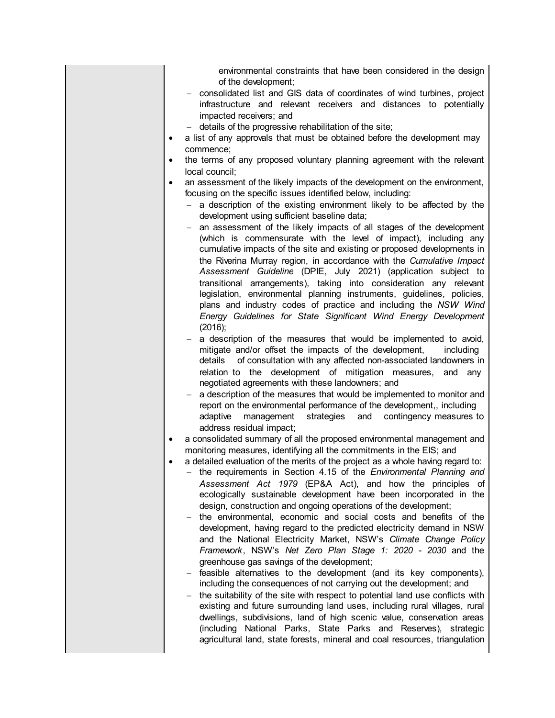environmental constraints that have been considered in the design of the development;

- consolidated list and GIS data of coordinates of wind turbines, project infrastructure and relevant receivers and distances to potentially impacted receivers; and
- $-$  details of the progressive rehabilitation of the site:
- a list of any approvals that must be obtained before the development may commence;
- the terms of any proposed voluntary planning agreement with the relevant local council;
- an assessment of the likely impacts of the development on the environment, focusing on the specific issues identified below, including:
	- $-$  a description of the existing environment likely to be affected by the development using sufficient baseline data;
	- an assessment of the likely impacts of all stages of the development (which is commensurate with the level of impact), including any cumulative impacts of the site and existing or proposed developments in the Riverina Murray region, in accordance with the *Cumulative Impact Assessment Guideline* (DPIE, July 2021) (application subject to transitional arrangements), taking into consideration any relevant legislation, environmental planning instruments, guidelines, policies, plans and industry codes of practice and including the *NSW Wind Energy Guidelines for State Significant Wind Energy Development* (2016);
	- a description of the measures that would be implemented to avoid, mitigate and/or offset the impacts of the development, including details of consultation with any affected non-associated landowners in relation to the development of mitigation measures, and any negotiated agreements with these landowners; and
	- a description of the measures that would be implemented to monitor and report on the environmental performance of the development,, including adaptive management strategies and contingency measures to address residual impact;
- a consolidated summary of all the proposed environmental management and monitoring measures, identifying all the commitments in the EIS; and
- a detailed evaluation of the merits of the project as a whole having regard to:
	- the requirements in Section 4.15 of the *Environmental Planning and Assessment Act 1979* (EP&A Act), and how the principles of ecologically sustainable development have been incorporated in the design, construction and ongoing operations of the development;
	- the environmental, economic and social costs and benefits of the development, having regard to the predicted electricity demand in NSW and the National Electricity Market, NSW's *Climate Change Policy Framework*, NSW's *Net Zero Plan Stage 1: 2020 - 2030* and the greenhouse gas savings of the development;
	- feasible alternatives to the development (and its key components), including the consequences of not carrying out the development; and
	- $-$  the suitability of the site with respect to potential land use conflicts with existing and future surrounding land uses, including rural villages, rural dwellings, subdivisions, land of high scenic value, conservation areas (including National Parks, State Parks and Reserves), strategic agricultural land, state forests, mineral and coal resources, triangulation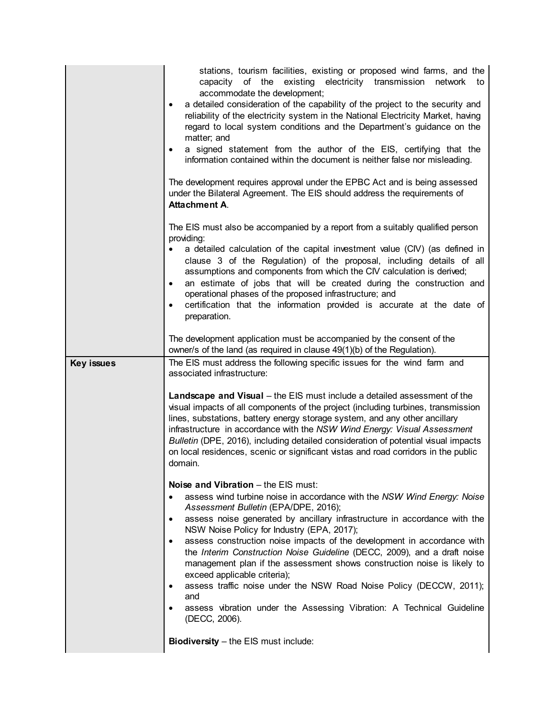|                   | stations, tourism facilities, existing or proposed wind farms, and the<br>capacity of the existing<br>electricity transmission network<br>to<br>accommodate the development;<br>a detailed consideration of the capability of the project to the security and<br>$\bullet$<br>reliability of the electricity system in the National Electricity Market, having<br>regard to local system conditions and the Department's guidance on the<br>matter; and<br>a signed statement from the author of the EIS, certifying that the<br>$\bullet$<br>information contained within the document is neither false nor misleading.<br>The development requires approval under the EPBC Act and is being assessed<br>under the Bilateral Agreement. The EIS should address the requirements of<br><b>Attachment A.</b>          |
|-------------------|----------------------------------------------------------------------------------------------------------------------------------------------------------------------------------------------------------------------------------------------------------------------------------------------------------------------------------------------------------------------------------------------------------------------------------------------------------------------------------------------------------------------------------------------------------------------------------------------------------------------------------------------------------------------------------------------------------------------------------------------------------------------------------------------------------------------|
|                   | The EIS must also be accompanied by a report from a suitably qualified person<br>providing:<br>a detailed calculation of the capital investment value (CIV) (as defined in<br>clause 3 of the Regulation) of the proposal, including details of all<br>assumptions and components from which the CIV calculation is derived;<br>an estimate of jobs that will be created during the construction and<br>$\bullet$<br>operational phases of the proposed infrastructure; and<br>certification that the information provided is accurate at the date of<br>$\bullet$<br>preparation.                                                                                                                                                                                                                                   |
|                   | The development application must be accompanied by the consent of the<br>owner/s of the land (as required in clause 49(1)(b) of the Regulation).                                                                                                                                                                                                                                                                                                                                                                                                                                                                                                                                                                                                                                                                     |
| <b>Key issues</b> | The EIS must address the following specific issues for the wind farm and<br>associated infrastructure:                                                                                                                                                                                                                                                                                                                                                                                                                                                                                                                                                                                                                                                                                                               |
|                   | Landscape and Visual - the EIS must include a detailed assessment of the<br>visual impacts of all components of the project (including turbines, transmission<br>lines, substations, battery energy storage system, and any other ancillary<br>infrastructure in accordance with the NSW Wind Energy: Visual Assessment<br>Bulletin (DPE, 2016), including detailed consideration of potential visual impacts<br>on local residences, scenic or significant vistas and road corridors in the public<br>domain.                                                                                                                                                                                                                                                                                                       |
|                   | Noise and Vibration - the EIS must:<br>assess wind turbine noise in accordance with the NSW Wind Energy: Noise<br>$\bullet$<br>Assessment Bulletin (EPA/DPE, 2016);<br>assess noise generated by ancillary infrastructure in accordance with the<br>$\bullet$<br>NSW Noise Policy for Industry (EPA, 2017);<br>assess construction noise impacts of the development in accordance with<br>$\bullet$<br>the Interim Construction Noise Guideline (DECC, 2009), and a draft noise<br>management plan if the assessment shows construction noise is likely to<br>exceed applicable criteria);<br>assess traffic noise under the NSW Road Noise Policy (DECCW, 2011);<br>٠<br>and<br>assess vibration under the Assessing Vibration: A Technical Guideline<br>٠<br>(DECC, 2006).<br>Biodiversity - the EIS must include: |
|                   |                                                                                                                                                                                                                                                                                                                                                                                                                                                                                                                                                                                                                                                                                                                                                                                                                      |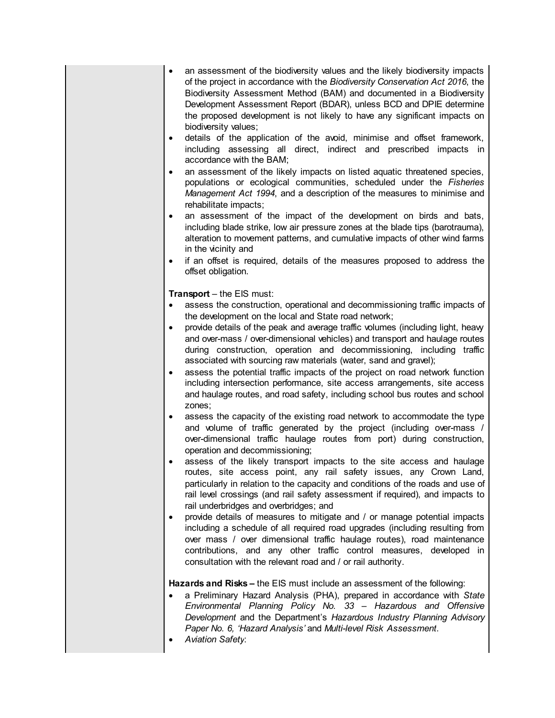- an assessment of the biodiversity values and the likely biodiversity impacts of the project in accordance with the *Biodiversity Conservation Act 2016*, the Biodiversity Assessment Method (BAM) and documented in a Biodiversity Development Assessment Report (BDAR), unless BCD and DPIE determine the proposed development is not likely to have any significant impacts on biodiversity values;
- details of the application of the avoid, minimise and offset framework, including assessing all direct, indirect and prescribed impacts in accordance with the BAM;
- an assessment of the likely impacts on listed aquatic threatened species, populations or ecological communities, scheduled under the *Fisheries Management Act 1994*, and a description of the measures to minimise and rehabilitate impacts;
- an assessment of the impact of the development on birds and bats, including blade strike, low air pressure zones at the blade tips (barotrauma), alteration to movement patterns, and cumulative impacts of other wind farms in the vicinity and
- if an offset is required, details of the measures proposed to address the offset obligation.

**Transport** – the EIS must:

- assess the construction, operational and decommissioning traffic impacts of the development on the local and State road network;
- provide details of the peak and average traffic volumes (including light, heavy and over-mass / over-dimensional vehicles) and transport and haulage routes during construction, operation and decommissioning, including traffic associated with sourcing raw materials (water, sand and gravel);
- assess the potential traffic impacts of the project on road network function including intersection performance, site access arrangements, site access and haulage routes, and road safety, including school bus routes and school zones;
- assess the capacity of the existing road network to accommodate the type and volume of traffic generated by the project (including over-mass / over-dimensional traffic haulage routes from port) during construction, operation and decommissioning;
- assess of the likely transport impacts to the site access and haulage routes, site access point, any rail safety issues, any Crown Land, particularly in relation to the capacity and conditions of the roads and use of rail level crossings (and rail safety assessment if required), and impacts to rail underbridges and overbridges; and
- provide details of measures to mitigate and / or manage potential impacts including a schedule of all required road upgrades (including resulting from over mass / over dimensional traffic haulage routes), road maintenance contributions, and any other traffic control measures, developed in consultation with the relevant road and / or rail authority.

**Hazards and Risks –** the EIS must include an assessment of the following:

- a Preliminary Hazard Analysis (PHA), prepared in accordance with *State Environmental Planning Policy No. 33 – Hazardous and Offensive Development* and the Department's *Hazardous Industry Planning Advisory Paper No. 6, 'Hazard Analysis'* and *Multi-level Risk Assessment*.
- *Aviation Safety*: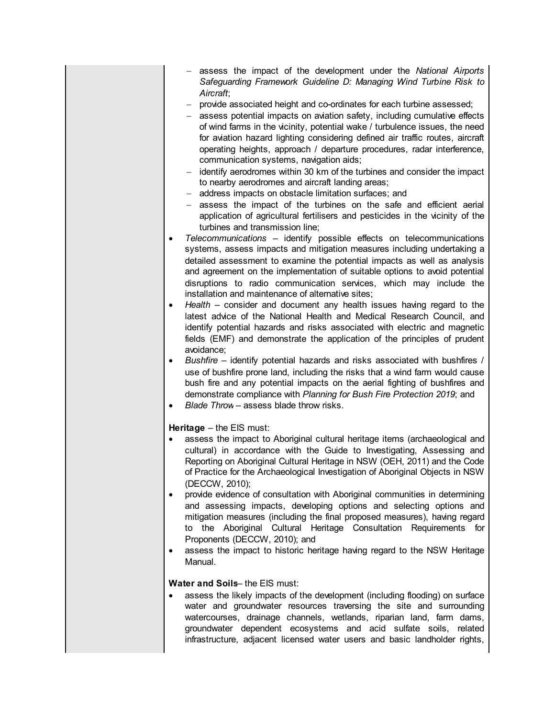- assess the impact of the development under the *National Airports Safeguarding Framework Guideline D: Managing Wind Turbine Risk to Aircraft*;
- provide associated height and co-ordinates for each turbine assessed;
- assess potential impacts on aviation safety, including cumulative effects of wind farms in the vicinity, potential wake / turbulence issues, the need for aviation hazard lighting considering defined air traffic routes, aircraft operating heights, approach / departure procedures, radar interference, communication systems, navigation aids;
- identify aerodromes within 30 km of the turbines and consider the impact to nearby aerodromes and aircraft landing areas;
- address impacts on obstacle limitation surfaces; and
- assess the impact of the turbines on the safe and efficient aerial application of agricultural fertilisers and pesticides in the vicinity of the turbines and transmission line;
- *Telecommunications* identify possible effects on telecommunications systems, assess impacts and mitigation measures including undertaking a detailed assessment to examine the potential impacts as well as analysis and agreement on the implementation of suitable options to avoid potential disruptions to radio communication services, which may include the installation and maintenance of alternative sites;
- *Health* consider and document any health issues having regard to the latest advice of the National Health and Medical Research Council, and identify potential hazards and risks associated with electric and magnetic fields (EMF) and demonstrate the application of the principles of prudent avoidance;
- *Bushfire* identify potential hazards and risks associated with bushfires / use of bushfire prone land, including the risks that a wind farm would cause bush fire and any potential impacts on the aerial fighting of bushfires and demonstrate compliance with *Planning for Bush Fire Protection 2019*; and
- *Blade Throw* assess blade throw risks.

**Heritage** – the EIS must:

- assess the impact to Aboriginal cultural heritage items (archaeological and cultural) in accordance with the Guide to Investigating, Assessing and Reporting on Aboriginal Cultural Heritage in NSW (OEH, 2011) and the Code of Practice for the Archaeological Investigation of Aboriginal Objects in NSW (DECCW, 2010);
- provide evidence of consultation with Aboriginal communities in determining and assessing impacts, developing options and selecting options and mitigation measures (including the final proposed measures), having regard to the Aboriginal Cultural Heritage Consultation Requirements for Proponents (DECCW, 2010); and
- assess the impact to historic heritage having regard to the NSW Heritage Manual.

#### **Water and Soils**– the EIS must:

 assess the likely impacts of the development (including flooding) on surface water and groundwater resources traversing the site and surrounding watercourses, drainage channels, wetlands, riparian land, farm dams, groundwater dependent ecosystems and acid sulfate soils, related infrastructure, adjacent licensed water users and basic landholder rights,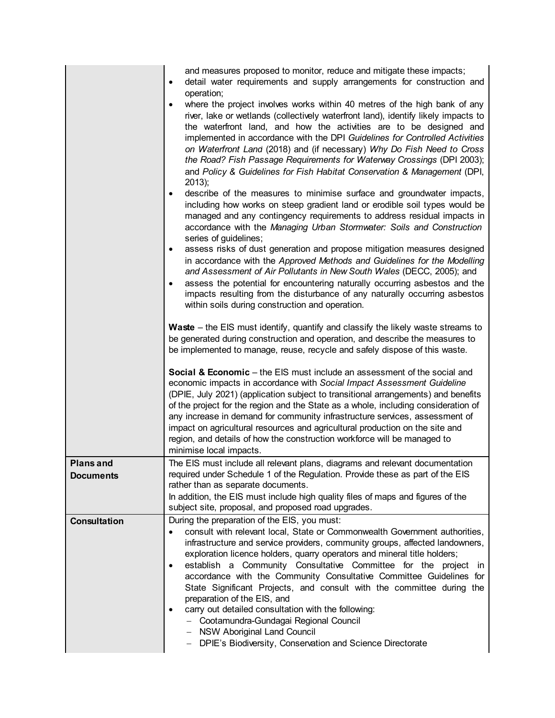|                                      | and measures proposed to monitor, reduce and mitigate these impacts;<br>detail water requirements and supply arrangements for construction and<br>$\bullet$<br>operation;<br>where the project involves works within 40 metres of the high bank of any<br>٠<br>river, lake or wetlands (collectively waterfront land), identify likely impacts to<br>the waterfront land, and how the activities are to be designed and<br>implemented in accordance with the DPI Guidelines for Controlled Activities<br>on Waterfront Land (2018) and (if necessary) Why Do Fish Need to Cross<br>the Road? Fish Passage Requirements for Waterway Crossings (DPI 2003);<br>and Policy & Guidelines for Fish Habitat Conservation & Management (DPI,<br>$2013$ ;<br>describe of the measures to minimise surface and groundwater impacts,<br>$\bullet$<br>including how works on steep gradient land or erodible soil types would be<br>managed and any contingency requirements to address residual impacts in<br>accordance with the Managing Urban Stormwater: Soils and Construction<br>series of guidelines;<br>assess risks of dust generation and propose mitigation measures designed<br>$\bullet$<br>in accordance with the Approved Methods and Guidelines for the Modelling<br>and Assessment of Air Pollutants in New South Wales (DECC, 2005); and<br>assess the potential for encountering naturally occurring asbestos and the<br>$\bullet$<br>impacts resulting from the disturbance of any naturally occurring asbestos<br>within soils during construction and operation.<br><b>Waste</b> – the EIS must identify, quantify and classify the likely waste streams to<br>be generated during construction and operation, and describe the measures to<br>be implemented to manage, reuse, recycle and safely dispose of this waste. |
|--------------------------------------|----------------------------------------------------------------------------------------------------------------------------------------------------------------------------------------------------------------------------------------------------------------------------------------------------------------------------------------------------------------------------------------------------------------------------------------------------------------------------------------------------------------------------------------------------------------------------------------------------------------------------------------------------------------------------------------------------------------------------------------------------------------------------------------------------------------------------------------------------------------------------------------------------------------------------------------------------------------------------------------------------------------------------------------------------------------------------------------------------------------------------------------------------------------------------------------------------------------------------------------------------------------------------------------------------------------------------------------------------------------------------------------------------------------------------------------------------------------------------------------------------------------------------------------------------------------------------------------------------------------------------------------------------------------------------------------------------------------------------------------------------------------------------------------------------------------------------------------|
|                                      | <b>Social &amp; Economic</b> – the EIS must include an assessment of the social and<br>economic impacts in accordance with Social Impact Assessment Guideline<br>(DPIE, July 2021) (application subject to transitional arrangements) and benefits<br>of the project for the region and the State as a whole, including consideration of<br>any increase in demand for community infrastructure services, assessment of<br>impact on agricultural resources and agricultural production on the site and<br>region, and details of how the construction workforce will be managed to<br>minimise local impacts.                                                                                                                                                                                                                                                                                                                                                                                                                                                                                                                                                                                                                                                                                                                                                                                                                                                                                                                                                                                                                                                                                                                                                                                                                         |
| <b>Plans and</b><br><b>Documents</b> | The EIS must include all relevant plans, diagrams and relevant documentation<br>required under Schedule 1 of the Regulation. Provide these as part of the EIS<br>rather than as separate documents.<br>In addition, the EIS must include high quality files of maps and figures of the<br>subject site, proposal, and proposed road upgrades.                                                                                                                                                                                                                                                                                                                                                                                                                                                                                                                                                                                                                                                                                                                                                                                                                                                                                                                                                                                                                                                                                                                                                                                                                                                                                                                                                                                                                                                                                          |
| Consultation                         | During the preparation of the EIS, you must:<br>consult with relevant local, State or Commonwealth Government authorities,<br>$\bullet$<br>infrastructure and service providers, community groups, affected landowners,<br>exploration licence holders, quarry operators and mineral title holders;<br>establish a Community Consultative Committee for the project in<br>$\bullet$<br>accordance with the Community Consultative Committee Guidelines for<br>State Significant Projects, and consult with the committee during the<br>preparation of the EIS, and<br>carry out detailed consultation with the following:<br>$\bullet$<br>- Cootamundra-Gundagai Regional Council<br>- NSW Aboriginal Land Council<br>- DPIE's Biodiversity, Conservation and Science Directorate                                                                                                                                                                                                                                                                                                                                                                                                                                                                                                                                                                                                                                                                                                                                                                                                                                                                                                                                                                                                                                                      |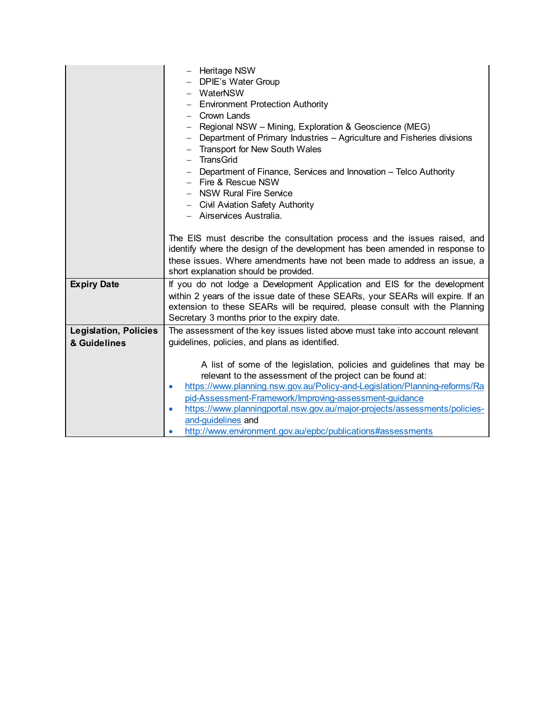|                                              | - Heritage NSW<br>- DPIE's Water Group<br>- WaterNSW<br><b>Environment Protection Authority</b><br>$-$<br>Crown Lands<br>- Regional NSW - Mining, Exploration & Geoscience (MEG)<br>- Department of Primary Industries - Agriculture and Fisheries divisions<br><b>Transport for New South Wales</b><br>- TransGrid<br>- Department of Finance, Services and Innovation - Telco Authority<br>$-$ Fire & Rescue NSW<br>- NSW Rural Fire Service<br>- Civil Aviation Safety Authority<br>- Airservices Australia.<br>The EIS must describe the consultation process and the issues raised, and<br>identify where the design of the development has been amended in response to<br>these issues. Where amendments have not been made to address an issue, a |
|----------------------------------------------|----------------------------------------------------------------------------------------------------------------------------------------------------------------------------------------------------------------------------------------------------------------------------------------------------------------------------------------------------------------------------------------------------------------------------------------------------------------------------------------------------------------------------------------------------------------------------------------------------------------------------------------------------------------------------------------------------------------------------------------------------------|
| <b>Expiry Date</b>                           | short explanation should be provided.<br>If you do not lodge a Development Application and EIS for the development<br>within 2 years of the issue date of these SEARs, your SEARs will expire. If an<br>extension to these SEARs will be required, please consult with the Planning<br>Secretary 3 months prior to the expiry date.                                                                                                                                                                                                                                                                                                                                                                                                                      |
| <b>Legislation, Policies</b><br>& Guidelines | The assessment of the key issues listed above must take into account relevant<br>guidelines, policies, and plans as identified.<br>A list of some of the legislation, policies and guidelines that may be<br>relevant to the assessment of the project can be found at:<br>https://www.planning.nsw.gov.au/Policy-and-Legislation/Planning-reforms/Ra<br>$\bullet$<br>pid-Assessment-Framework/Improving-assessment-guidance<br>https://www.planningportal.nsw.gov.au/major-projects/assessments/policies-<br>$\bullet$<br>and-guidelines and<br>http://www.environment.gov.au/epbc/publications#assessments<br>$\bullet$                                                                                                                                |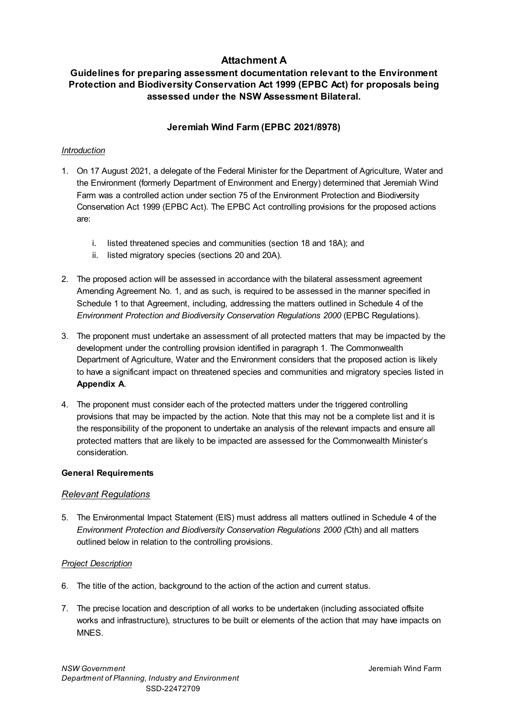## **Attachment A**

## **Guidelines for preparing assessment documentation relevant to the Environment Protection and Biodiversity Conservation Act 1999 (EPBC Act) for proposals being assessed under the NSW Assessment Bilateral.**

## **Jeremiah Wind Farm (EPBC 2021/8978)**

## *Introduction*

- 1. On 17 August 2021, a delegate of the Federal Minister for the Department of Agriculture, Water and the Environment (formerly Department of Environment and Energy) determined that Jeremiah Wind Farm was a controlled action under section 75 of the Environment Protection and Biodiversity Conservation Act 1999 (EPBC Act). The EPBC Act controlling provisions for the proposed actions are:
	- i. listed threatened species and communities (section 18 and 18A); and
	- ii. listed migratory species (sections 20 and 20A).
- 2. The proposed action will be assessed in accordance with the bilateral assessment agreement Amending Agreement No. 1, and as such, is required to be assessed in the manner specified in Schedule 1 to that Agreement, including, addressing the matters outlined in Schedule 4 of the *Environment Protection and Biodiversity Conservation Regulations 2000* (EPBC Regulations).
- 3. The proponent must undertake an assessment of all protected matters that may be impacted by the development under the controlling provision identified in paragraph 1. The Commonwealth Department of Agriculture, Water and the Environment considers that the proposed action is likely to have a significant impact on threatened species and communities and migratory species listed in **Appendix A**.
- 4. The proponent must consider each of the protected matters under the triggered controlling provisions that may be impacted by the action. Note that this may not be a complete list and it is the responsibility of the proponent to undertake an analysis of the relevant impacts and ensure all protected matters that are likely to be impacted are assessed for the Commonwealth Minister's consideration.

## **General Requirements**

## *Relevant Regulations*

5. The Environmental Impact Statement (EIS) must address all matters outlined in Schedule 4 of the *Environment Protection and Biodiversity Conservation Regulations 2000 (*Cth) and all matters outlined below in relation to the controlling provisions.

## *Project Description*

- 6. The title of the action, background to the action of the action and current status.
- 7. The precise location and description of all works to be undertaken (including associated offsite works and infrastructure), structures to be built or elements of the action that may have impacts on **MNES**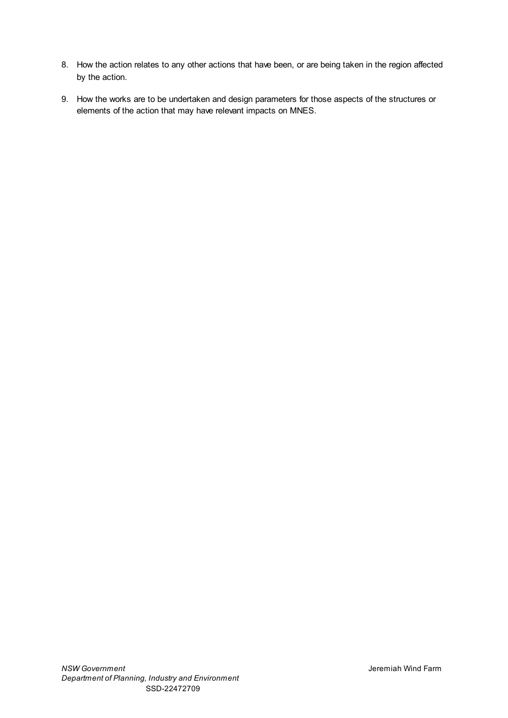- 8. How the action relates to any other actions that have been, or are being taken in the region affected by the action.
- 9. How the works are to be undertaken and design parameters for those aspects of the structures or elements of the action that may have relevant impacts on MNES.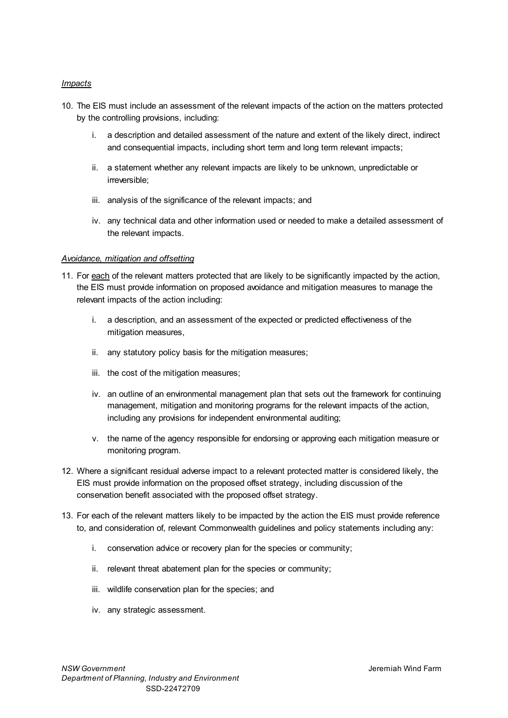#### *Impacts*

- 10. The EIS must include an assessment of the relevant impacts of the action on the matters protected by the controlling provisions, including:
	- i. a description and detailed assessment of the nature and extent of the likely direct, indirect and consequential impacts, including short term and long term relevant impacts;
	- ii. a statement whether any relevant impacts are likely to be unknown, unpredictable or irreversible;
	- iii. analysis of the significance of the relevant impacts; and
	- iv. any technical data and other information used or needed to make a detailed assessment of the relevant impacts.

#### *Avoidance, mitigation and offsetting*

- 11. For each of the relevant matters protected that are likely to be significantly impacted by the action, the EIS must provide information on proposed avoidance and mitigation measures to manage the relevant impacts of the action including:
	- i. a description, and an assessment of the expected or predicted effectiveness of the mitigation measures,
	- ii. any statutory policy basis for the mitigation measures;
	- iii. the cost of the mitigation measures;
	- iv. an outline of an environmental management plan that sets out the framework for continuing management, mitigation and monitoring programs for the relevant impacts of the action, including any provisions for independent environmental auditing;
	- v. the name of the agency responsible for endorsing or approving each mitigation measure or monitoring program.
- 12. Where a significant residual adverse impact to a relevant protected matter is considered likely, the EIS must provide information on the proposed offset strategy, including discussion of the conservation benefit associated with the proposed offset strategy.
- 13. For each of the relevant matters likely to be impacted by the action the EIS must provide reference to, and consideration of, relevant Commonwealth guidelines and policy statements including any:
	- i. conservation advice or recovery plan for the species or community;
	- ii. relevant threat abatement plan for the species or community;
	- iii. wildlife conservation plan for the species; and
	- iv. any strategic assessment.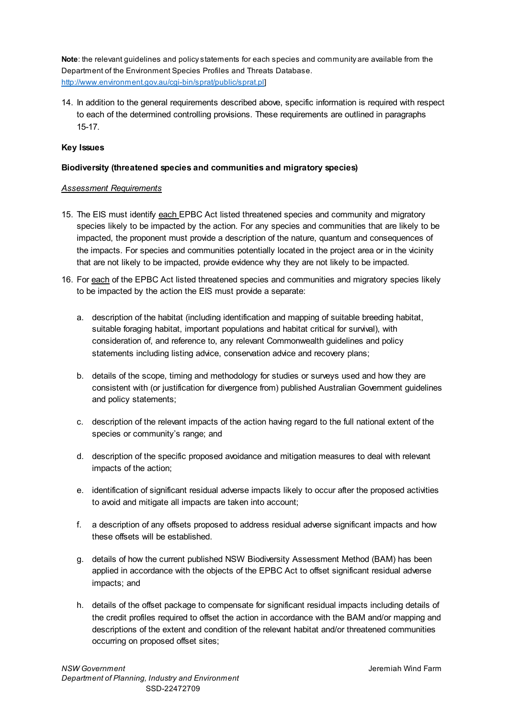**Note**: the relevant guidelines and policy statements for each species and community are available from the Department of the Environment Species Profiles and Threats Database. [http://www.environment.gov.au/cgi-bin/sprat/public/sprat.pl\]](http://www.environment.gov.au/cgi-bin/sprat/public/sprat.pl)

14. In addition to the general requirements described above, specific information is required with respect to each of the determined controlling provisions. These requirements are outlined in paragraphs 15-17.

#### **Key Issues**

#### **Biodiversity (threatened species and communities and migratory species)**

#### *Assessment Requirements*

- 15. The EIS must identify each EPBC Act listed threatened species and community and migratory species likely to be impacted by the action. For any species and communities that are likely to be impacted, the proponent must provide a description of the nature, quantum and consequences of the impacts. For species and communities potentially located in the project area or in the vicinity that are not likely to be impacted, provide evidence why they are not likely to be impacted.
- 16. For each of the EPBC Act listed threatened species and communities and migratory species likely to be impacted by the action the EIS must provide a separate:
	- a. description of the habitat (including identification and mapping of suitable breeding habitat, suitable foraging habitat, important populations and habitat critical for survival), with consideration of, and reference to, any relevant Commonwealth guidelines and policy statements including listing advice, conservation advice and recovery plans;
	- b. details of the scope, timing and methodology for studies or surveys used and how they are consistent with (or justification for divergence from) published Australian Government guidelines and policy statements;
	- c. description of the relevant impacts of the action having regard to the full national extent of the species or community's range; and
	- d. description of the specific proposed avoidance and mitigation measures to deal with relevant impacts of the action;
	- e. identification of significant residual adverse impacts likely to occur after the proposed activities to avoid and mitigate all impacts are taken into account;
	- f. a description of any offsets proposed to address residual adverse significant impacts and how these offsets will be established.
	- g. details of how the current published NSW Biodiversity Assessment Method (BAM) has been applied in accordance with the objects of the EPBC Act to offset significant residual adverse impacts; and
	- h. details of the offset package to compensate for significant residual impacts including details of the credit profiles required to offset the action in accordance with the BAM and/or mapping and descriptions of the extent and condition of the relevant habitat and/or threatened communities occurring on proposed offset sites;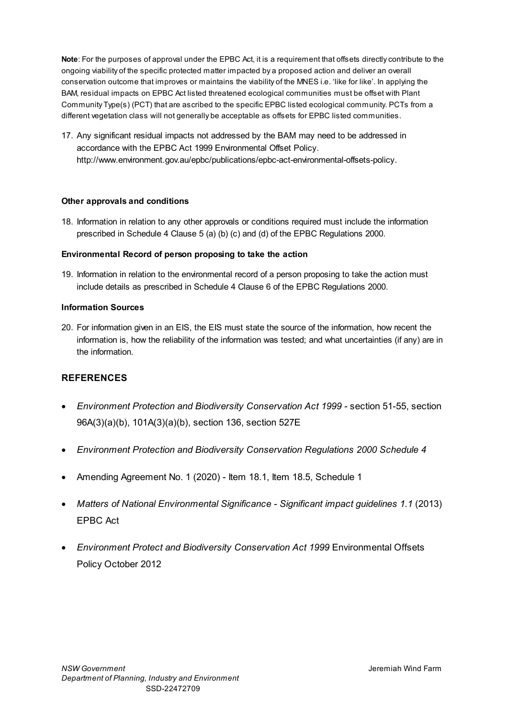**Note**: For the purposes of approval under the EPBC Act, it is a requirement that offsets directly contribute to the ongoing viability of the specific protected matter impacted by a proposed action and deliver an overall conservation outcome that improves or maintains the viability of the MNES i.e. 'like for like'. In applying the BAM, residual impacts on EPBC Act listed threatened ecological communities must be offset with Plant Community Type(s) (PCT) that are ascribed to the specific EPBC listed ecological community. PCTs from a different vegetation class will not generally be acceptable as offsets for EPBC listed communities.

17. Any significant residual impacts not addressed by the BAM may need to be addressed in accordance with the EPBC Act 1999 Environmental Offset Policy. [http://www.environment.gov.au/epbc/publications/epbc-act-environmental-offsets-policy.](http://www.environment.gov.au/epbc/publications/epbc-act-environmental-offsets-policy)

#### **Other approvals and conditions**

18. Information in relation to any other approvals or conditions required must include the information prescribed in Schedule 4 Clause 5 (a) (b) (c) and (d) of the EPBC Regulations 2000.

#### **Environmental Record of person proposing to take the action**

19. Information in relation to the environmental record of a person proposing to take the action must include details as prescribed in Schedule 4 Clause 6 of the EPBC Regulations 2000.

#### **Information Sources**

20. For information given in an EIS, the EIS must state the source of the information, how recent the information is, how the reliability of the information was tested; and what uncertainties (if any) are in the information.

## **REFERENCES**

- Environment Protection and Biodiversity Conservation Act 1999 section 51-55, section 96A(3)(a)(b), 101A(3)(a)(b), section 136, section 527E
- *Environment Protection and Biodiversity Conservation Regulations 2000 Schedule 4*
- Amending Agreement No. 1 (2020) Item 18.1, Item 18.5, Schedule 1
- *Matters of National Environmental Significance Significant impact guidelines 1.1* (2013) EPBC Act
- *Environment Protect and Biodiversity Conservation Act 1999* Environmental Offsets Policy October 2012